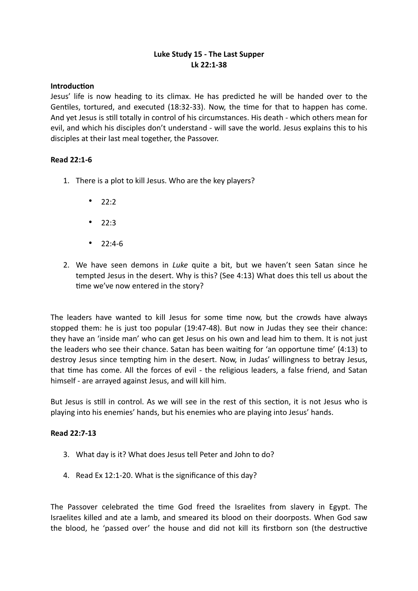## **Luke Study 15 - The Last Supper Lk 22:1-38**

### **Introduction**

Jesus' life is now heading to its climax. He has predicted he will be handed over to the Gentiles, tortured, and executed (18:32-33). Now, the time for that to happen has come. And yet Jesus is still totally in control of his circumstances. His death - which others mean for evil, and which his disciples don't understand - will save the world. Jesus explains this to his disciples at their last meal together, the Passover.

### **Read 22:1-6**

- 1. There is a plot to kill Jesus. Who are the key players?
	- $22:2$
	- 22:3
	- $22:4-6$
- 2. We have seen demons in *Luke* quite a bit, but we haven't seen Satan since he tempted Jesus in the desert. Why is this? (See 4:13) What does this tell us about the time we've now entered in the story?

The leaders have wanted to kill Jesus for some time now, but the crowds have always stopped them: he is just too popular (19:47-48). But now in Judas they see their chance: they have an 'inside man' who can get Jesus on his own and lead him to them. It is not just the leaders who see their chance. Satan has been waiting for 'an opportune time' (4:13) to destroy Jesus since tempting him in the desert. Now, in Judas' willingness to betray Jesus, that time has come. All the forces of evil - the religious leaders, a false friend, and Satan himself - are arrayed against Jesus, and will kill him.

But Jesus is still in control. As we will see in the rest of this section, it is not Jesus who is playing into his enemies' hands, but his enemies who are playing into Jesus' hands.

### **Read 22:7-13**

- 3. What day is it? What does Jesus tell Peter and John to do?
- 4. Read Ex 12:1-20. What is the significance of this day?

The Passover celebrated the time God freed the Israelites from slavery in Egypt. The Israelites killed and ate a lamb, and smeared its blood on their doorposts. When God saw the blood, he 'passed over' the house and did not kill its firstborn son (the destructive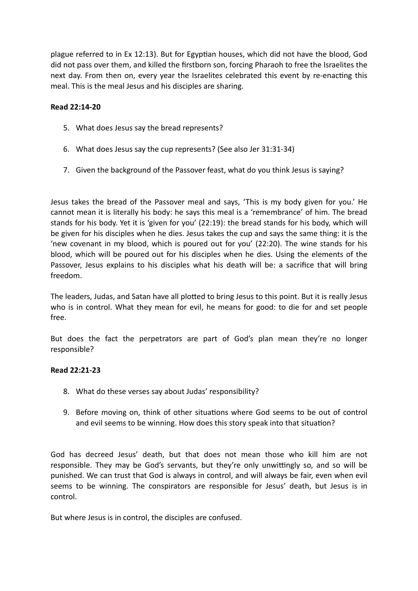plague referred to in Ex 12:13). But for Egyptian houses, which did not have the blood, God did not pass over them, and killed the firstborn son, forcing Pharaoh to free the Israelites the next day. From then on, every year the Israelites celebrated this event by re-enacting this meal. This is the meal Jesus and his disciples are sharing.

### **Read 22:14-20**

- 5. What does Jesus say the bread represents?
- 6. What does Jesus say the cup represents? (See also Jer 31:31-34)
- 7. Given the background of the Passover feast, what do you think Jesus is saying?

Jesus takes the bread of the Passover meal and says, 'This is my body given for you.' He cannot mean it is literally his body: he says this meal is a 'remembrance' of him. The bread stands for his body. Yet it is 'given for you' (22:19): the bread stands for his body, which will be given for his disciples when he dies. Jesus takes the cup and says the same thing: it is the 'new covenant in my blood, which is poured out for you' (22:20). The wine stands for his blood, which will be poured out for his disciples when he dies. Using the elements of the Passover, Jesus explains to his disciples what his death will be: a sacrifice that will bring freedom.

The leaders, Judas, and Satan have all plotted to bring Jesus to this point. But it is really Jesus who is in control. What they mean for evil, he means for good: to die for and set people free.

But does the fact the perpetrators are part of God's plan mean they're no longer responsible?

# **Read 22:21-23**

- 8. What do these verses say about Judas' responsibility?
- 9. Before moving on, think of other situations where God seems to be out of control and evil seems to be winning. How does this story speak into that situation?

God has decreed Jesus' death, but that does not mean those who kill him are not responsible. They may be God's servants, but they're only unwittingly so, and so will be punished. We can trust that God is always in control, and will always be fair, even when evil seems to be winning. The conspirators are responsible for Jesus' death, but Jesus is in control.

But where Jesus is in control, the disciples are confused.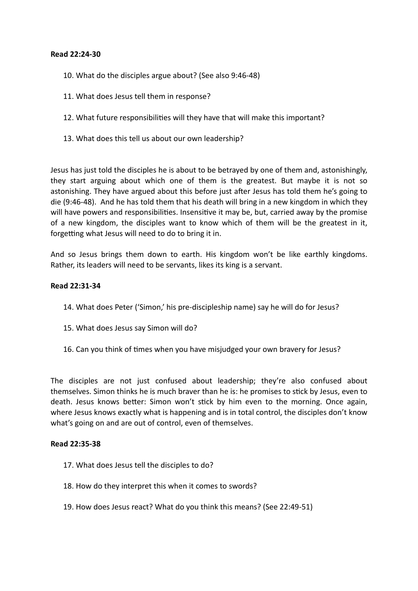### **Read 22:24-30**

- 10. What do the disciples argue about? (See also 9:46-48)
- 11. What does Jesus tell them in response?
- 12. What future responsibilities will they have that will make this important?
- 13. What does this tell us about our own leadership?

Jesus has just told the disciples he is about to be betrayed by one of them and, astonishingly, they start arguing about which one of them is the greatest. But maybe it is not so astonishing. They have argued about this before just after Jesus has told them he's going to die (9:46-48). And he has told them that his death will bring in a new kingdom in which they will have powers and responsibilities. Insensitive it may be, but, carried away by the promise of a new kingdom, the disciples want to know which of them will be the greatest in it, forgetting what Jesus will need to do to bring it in.

And so Jesus brings them down to earth. His kingdom won't be like earthly kingdoms. Rather, its leaders will need to be servants, likes its king is a servant.

### **Read 22:31-34**

- 14. What does Peter ('Simon,' his pre-discipleship name) say he will do for Jesus?
- 15. What does Jesus say Simon will do?
- 16. Can you think of times when you have misjudged your own bravery for Jesus?

The disciples are not just confused about leadership; they're also confused about themselves. Simon thinks he is much braver than he is: he promises to stick by Jesus, even to death. Jesus knows better: Simon won't stick by him even to the morning. Once again, where Jesus knows exactly what is happening and is in total control, the disciples don't know what's going on and are out of control, even of themselves.

### **Read 22:35-38**

- 17. What does Jesus tell the disciples to do?
- 18. How do they interpret this when it comes to swords?
- 19. How does Jesus react? What do you think this means? (See 22:49-51)